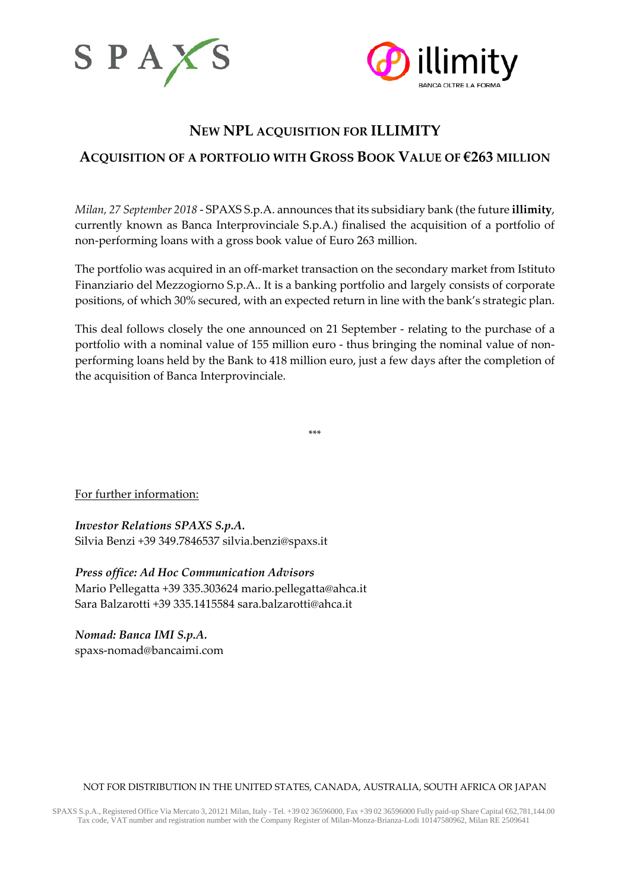



# **NEW NPL ACQUISITION FOR ILLIMITY ACQUISITION OF A PORTFOLIO WITH GROSS BOOK VALUE OF €263 MILLION**

*Milan, 27 September 2018* - SPAXS S.p.A. announces that its subsidiary bank (the future **illimity**, currently known as Banca Interprovinciale S.p.A.) finalised the acquisition of a portfolio of non-performing loans with a gross book value of Euro 263 million.

The portfolio was acquired in an off-market transaction on the secondary market from Istituto Finanziario del Mezzogiorno S.p.A.. It is a banking portfolio and largely consists of corporate positions, of which 30% secured, with an expected return in line with the bank's strategic plan.

This deal follows closely the one announced on 21 September - relating to the purchase of a portfolio with a nominal value of 155 million euro - thus bringing the nominal value of nonperforming loans held by the Bank to 418 million euro, just a few days after the completion of the acquisition of Banca Interprovinciale.

\*\*\*

For further information:

*Investor Relations SPAXS S.p.A.* Silvia Benzi +39 349.7846537 [silvia.benzi@spaxs.it](mailto:silvia.benzi@spaxs.it)

*Press office: Ad Hoc Communication Advisors* Mario Pellegatta +39 335.303624 [mario.pellegatta@ahca.it](mailto:mario.pellegatta@ahca.it) Sara Balzarotti +39 335.1415584 [sara.balzarotti@ahca.it](mailto:sara.balzarotti@ahca.it)

*Nomad: Banca IMI S.p.A.* spaxs-nomad@bancaimi.com

## NOT FOR DISTRIBUTION IN THE UNITED STATES, CANADA, AUSTRALIA, SOUTH AFRICA OR JAPAN

SPAXS S.p.A., Registered Office Via Mercato 3, 20121 Milan, Italy - Tel. +39 02 36596000, Fax +39 02 36596000 Fully paid-up Share Capital €62,781,144.00 Tax code, VAT number and registration number with the Company Register of Milan-Monza-Brianza-Lodi 10147580962, Milan RE 2509641